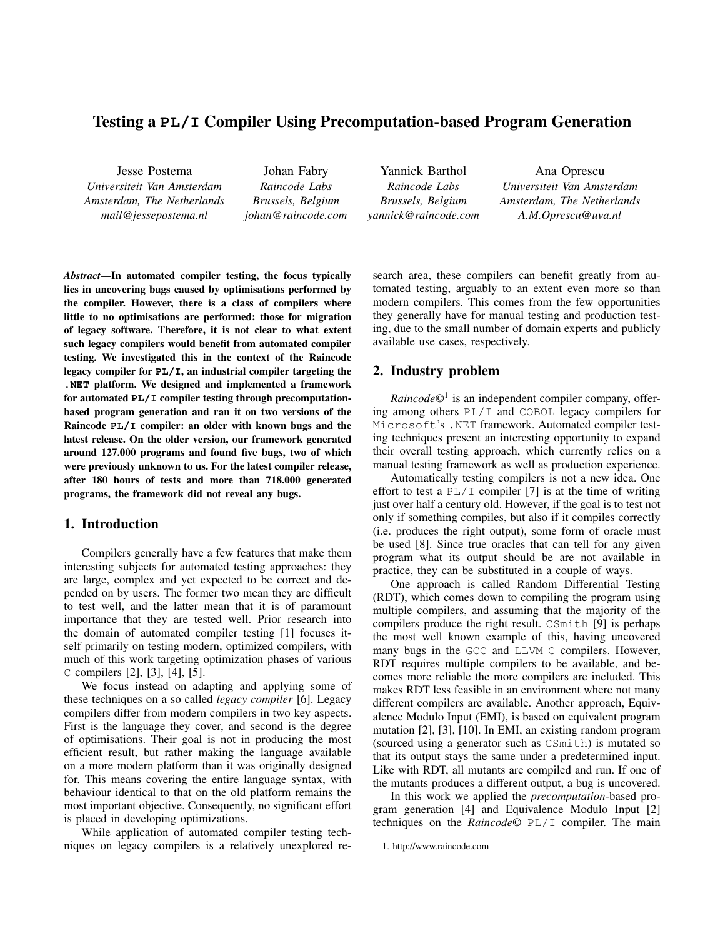# Testing a **PL/I** Compiler Using Precomputation-based Program Generation

Jesse Postema *Universiteit Van Amsterdam Amsterdam, The Netherlands mail@jessepostema.nl*

Johan Fabry *Raincode Labs Brussels, Belgium johan@raincode.com*

Yannick Barthol *Raincode Labs Brussels, Belgium yannick@raincode.com*

Ana Oprescu *Universiteit Van Amsterdam Amsterdam, The Netherlands A.M.Oprescu@uva.nl*

*Abstract*—In automated compiler testing, the focus typically lies in uncovering bugs caused by optimisations performed by the compiler. However, there is a class of compilers where little to no optimisations are performed: those for migration of legacy software. Therefore, it is not clear to what extent such legacy compilers would benefit from automated compiler testing. We investigated this in the context of the Raincode legacy compiler for **PL/I**, an industrial compiler targeting the **.NET** platform. We designed and implemented a framework for automated **PL/I** compiler testing through precomputationbased program generation and ran it on two versions of the Raincode **PL/I** compiler: an older with known bugs and the latest release. On the older version, our framework generated around 127.000 programs and found five bugs, two of which were previously unknown to us. For the latest compiler release, after 180 hours of tests and more than 718.000 generated programs, the framework did not reveal any bugs.

## 1. Introduction

Compilers generally have a few features that make them interesting subjects for automated testing approaches: they are large, complex and yet expected to be correct and depended on by users. The former two mean they are difficult to test well, and the latter mean that it is of paramount importance that they are tested well. Prior research into the domain of automated compiler testing [1] focuses itself primarily on testing modern, optimized compilers, with much of this work targeting optimization phases of various C compilers [2], [3], [4], [5].

We focus instead on adapting and applying some of these techniques on a so called *legacy compiler* [6]. Legacy compilers differ from modern compilers in two key aspects. First is the language they cover, and second is the degree of optimisations. Their goal is not in producing the most efficient result, but rather making the language available on a more modern platform than it was originally designed for. This means covering the entire language syntax, with behaviour identical to that on the old platform remains the most important objective. Consequently, no significant effort is placed in developing optimizations.

While application of automated compiler testing techniques on legacy compilers is a relatively unexplored research area, these compilers can benefit greatly from automated testing, arguably to an extent even more so than modern compilers. This comes from the few opportunities they generally have for manual testing and production testing, due to the small number of domain experts and publicly available use cases, respectively.

## 2. Industry problem

*Raincode©*<sup>1</sup> is an independent compiler company, offering among others PL/I and COBOL legacy compilers for Microsoft's .NET framework. Automated compiler testing techniques present an interesting opportunity to expand their overall testing approach, which currently relies on a manual testing framework as well as production experience.

Automatically testing compilers is not a new idea. One effort to test a  $PL/I$  compiler [7] is at the time of writing just over half a century old. However, if the goal is to test not only if something compiles, but also if it compiles correctly (i.e. produces the right output), some form of oracle must be used [8]. Since true oracles that can tell for any given program what its output should be are not available in practice, they can be substituted in a couple of ways.

One approach is called Random Differential Testing (RDT), which comes down to compiling the program using multiple compilers, and assuming that the majority of the compilers produce the right result. CSmith [9] is perhaps the most well known example of this, having uncovered many bugs in the GCC and LLVM C compilers. However, RDT requires multiple compilers to be available, and becomes more reliable the more compilers are included. This makes RDT less feasible in an environment where not many different compilers are available. Another approach, Equivalence Modulo Input (EMI), is based on equivalent program mutation [2], [3], [10]. In EMI, an existing random program (sourced using a generator such as CSmith) is mutated so that its output stays the same under a predetermined input. Like with RDT, all mutants are compiled and run. If one of the mutants produces a different output, a bug is uncovered.

In this work we applied the *precomputation*-based program generation [4] and Equivalence Modulo Input [2] techniques on the *Raincode©* PL/I compiler. The main

<sup>1.</sup> http://www.raincode.com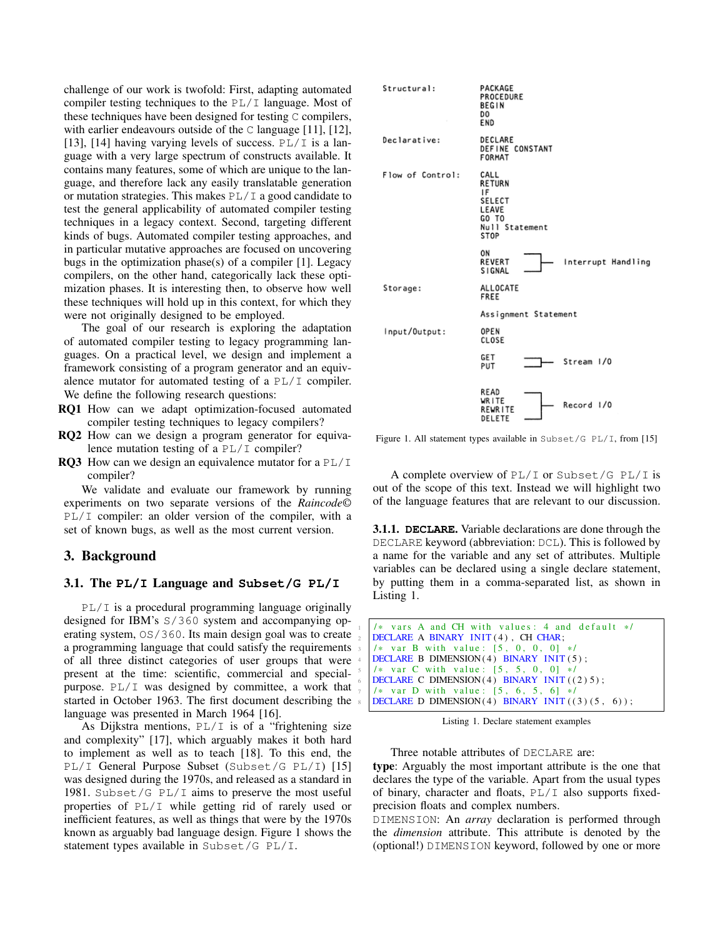challenge of our work is twofold: First, adapting automated compiler testing techniques to the  $PL/I$  language. Most of these techniques have been designed for testing C compilers, with earlier endeavours outside of the C language [11], [12], [13], [14] having varying levels of success.  $PL/I$  is a language with a very large spectrum of constructs available. It contains many features, some of which are unique to the language, and therefore lack any easily translatable generation or mutation strategies. This makes  $PL/I$  a good candidate to test the general applicability of automated compiler testing techniques in a legacy context. Second, targeting different kinds of bugs. Automated compiler testing approaches, and in particular mutative approaches are focused on uncovering bugs in the optimization phase(s) of a compiler [1]. Legacy compilers, on the other hand, categorically lack these optimization phases. It is interesting then, to observe how well these techniques will hold up in this context, for which they were not originally designed to be employed.

The goal of our research is exploring the adaptation of automated compiler testing to legacy programming languages. On a practical level, we design and implement a framework consisting of a program generator and an equivalence mutator for automated testing of a PL/I compiler. We define the following research questions:

- RQ1 How can we adapt optimization-focused automated compiler testing techniques to legacy compilers?
- RQ2 How can we design a program generator for equivalence mutation testing of a  $PL/I$  compiler?
- **RQ3** How can we design an equivalence mutator for a  $PL/I$ compiler?

We validate and evaluate our framework by running experiments on two separate versions of the *Raincode©* PL/I compiler: an older version of the compiler, with a set of known bugs, as well as the most current version.

### 3. Background

#### 3.1. The **PL/I** Language and **Subset/G PL/I**

PL/I is a procedural programming language originally designed for IBM's S/360 system and accompanying operating system, OS/360. Its main design goal was to create a programming language that could satisfy the requirements of all three distinct categories of user groups that were present at the time: scientific, commercial and specialpurpose.  $PL/I$  was designed by committee, a work that started in October 1963. The first document describing the language was presented in March 1964 [16].

As Dijkstra mentions,  $PL/I$  is of a "frightening size and complexity" [17], which arguably makes it both hard to implement as well as to teach [18]. To this end, the PL/I General Purpose Subset (Subset/G PL/I) [15] was designed during the 1970s, and released as a standard in 1981. Subset/G  $PL/I$  aims to preserve the most useful properties of PL/I while getting rid of rarely used or inefficient features, as well as things that were by the 1970s known as arguably bad language design. Figure 1 shows the statement types available in Subset/G PL/I.



Figure 1. All statement types available in Subset/G PL/I, from [15]

A complete overview of PL/I or Subset/G PL/I is out of the scope of this text. Instead we will highlight two of the language features that are relevant to our discussion.

3.1.1. **DECLARE**. Variable declarations are done through the DECLARE keyword (abbreviation: DCL). This is followed by a name for the variable and any set of attributes. Multiple variables can be declared using a single declare statement, by putting them in a comma-separated list, as shown in Listing 1.

```
/* vars A and CH with values: 4 and default */DECLARE A BINARY INIT (4), CH CHAR;
/* var B with value: [5, 0, 0, 0] */
DECLARE B DIMENSION(4) BINARY INIT(5);
/* var C with value: [5, 5, 0, 0] */
DECLARE C DIMENSION (4) BINARY INIT ((2) 5);
/* var D with value: [5, 6, 5, 6] */
DECLARE D DIMENSION(4) BINARY INIT((3)(5, 6));
```
Listing 1. Declare statement examples

Three notable attributes of DECLARE are:

type: Arguably the most important attribute is the one that declares the type of the variable. Apart from the usual types of binary, character and floats, PL/I also supports fixedprecision floats and complex numbers.

DIMENSION: An *array* declaration is performed through the *dimension* attribute. This attribute is denoted by the (optional!) DIMENSION keyword, followed by one or more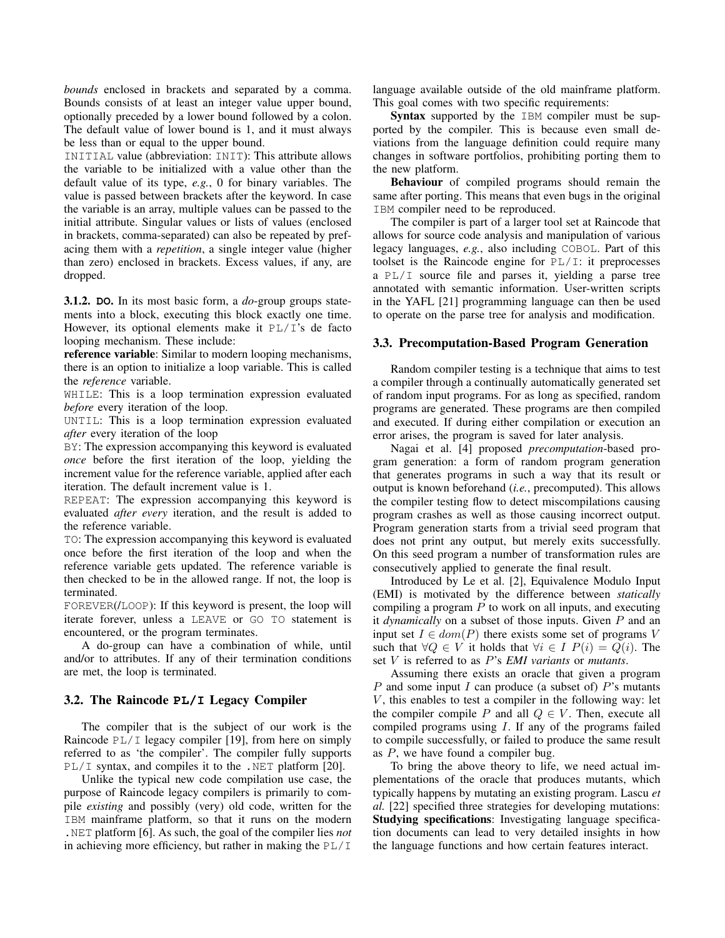*bounds* enclosed in brackets and separated by a comma. Bounds consists of at least an integer value upper bound, optionally preceded by a lower bound followed by a colon. The default value of lower bound is 1, and it must always be less than or equal to the upper bound.

INITIAL value (abbreviation: INIT): This attribute allows the variable to be initialized with a value other than the default value of its type, *e.g.*, 0 for binary variables. The value is passed between brackets after the keyword. In case the variable is an array, multiple values can be passed to the initial attribute. Singular values or lists of values (enclosed in brackets, comma-separated) can also be repeated by prefacing them with a *repetition*, a single integer value (higher than zero) enclosed in brackets. Excess values, if any, are dropped.

3.1.2. **DO**. In its most basic form, a *do*-group groups statements into a block, executing this block exactly one time. However, its optional elements make it  $PL/I$ 's de facto looping mechanism. These include:

reference variable: Similar to modern looping mechanisms, there is an option to initialize a loop variable. This is called the *reference* variable.

WHILE: This is a loop termination expression evaluated *before* every iteration of the loop.

UNTIL: This is a loop termination expression evaluated *after* every iteration of the loop

BY: The expression accompanying this keyword is evaluated *once* before the first iteration of the loop, yielding the increment value for the reference variable, applied after each iteration. The default increment value is 1.

REPEAT: The expression accompanying this keyword is evaluated *after every* iteration, and the result is added to the reference variable.

TO: The expression accompanying this keyword is evaluated once before the first iteration of the loop and when the reference variable gets updated. The reference variable is then checked to be in the allowed range. If not, the loop is terminated.

FOREVER(/LOOP): If this keyword is present, the loop will iterate forever, unless a LEAVE or GO TO statement is encountered, or the program terminates.

A do-group can have a combination of while, until and/or to attributes. If any of their termination conditions are met, the loop is terminated.

## 3.2. The Raincode **PL/I** Legacy Compiler

The compiler that is the subject of our work is the Raincode  $PL/I$  legacy compiler [19], from here on simply referred to as 'the compiler'. The compiler fully supports PL/I syntax, and compiles it to the .NET platform [20].

Unlike the typical new code compilation use case, the purpose of Raincode legacy compilers is primarily to compile *existing* and possibly (very) old code, written for the IBM mainframe platform, so that it runs on the modern .NET platform [6]. As such, the goal of the compiler lies *not* in achieving more efficiency, but rather in making the PL/I language available outside of the old mainframe platform. This goal comes with two specific requirements:

Syntax supported by the IBM compiler must be supported by the compiler. This is because even small deviations from the language definition could require many changes in software portfolios, prohibiting porting them to the new platform.

Behaviour of compiled programs should remain the same after porting. This means that even bugs in the original IBM compiler need to be reproduced.

The compiler is part of a larger tool set at Raincode that allows for source code analysis and manipulation of various legacy languages, *e.g.*, also including COBOL. Part of this toolset is the Raincode engine for  $PL/I$ : it preprocesses a PL/I source file and parses it, yielding a parse tree annotated with semantic information. User-written scripts in the YAFL [21] programming language can then be used to operate on the parse tree for analysis and modification.

#### 3.3. Precomputation-Based Program Generation

Random compiler testing is a technique that aims to test a compiler through a continually automatically generated set of random input programs. For as long as specified, random programs are generated. These programs are then compiled and executed. If during either compilation or execution an error arises, the program is saved for later analysis.

Nagai et al. [4] proposed *precomputation*-based program generation: a form of random program generation that generates programs in such a way that its result or output is known beforehand (*i.e.*, precomputed). This allows the compiler testing flow to detect miscompilations causing program crashes as well as those causing incorrect output. Program generation starts from a trivial seed program that does not print any output, but merely exits successfully. On this seed program a number of transformation rules are consecutively applied to generate the final result.

Introduced by Le et al. [2], Equivalence Modulo Input (EMI) is motivated by the difference between *statically* compiling a program  $P$  to work on all inputs, and executing it *dynamically* on a subset of those inputs. Given P and an input set  $I \in dom(P)$  there exists some set of programs V such that  $\forall Q \in V$  it holds that  $\forall i \in I$   $P(i) = Q(i)$ . The set V is referred to as P's *EMI variants* or *mutants*.

Assuming there exists an oracle that given a program P and some input I can produce (a subset of) P's mutants  $V$ , this enables to test a compiler in the following way: let the compiler compile P and all  $Q \in V$ . Then, execute all compiled programs using I. If any of the programs failed to compile successfully, or failed to produce the same result as P, we have found a compiler bug.

To bring the above theory to life, we need actual implementations of the oracle that produces mutants, which typically happens by mutating an existing program. Lascu *et al.* [22] specified three strategies for developing mutations: Studying specifications: Investigating language specification documents can lead to very detailed insights in how the language functions and how certain features interact.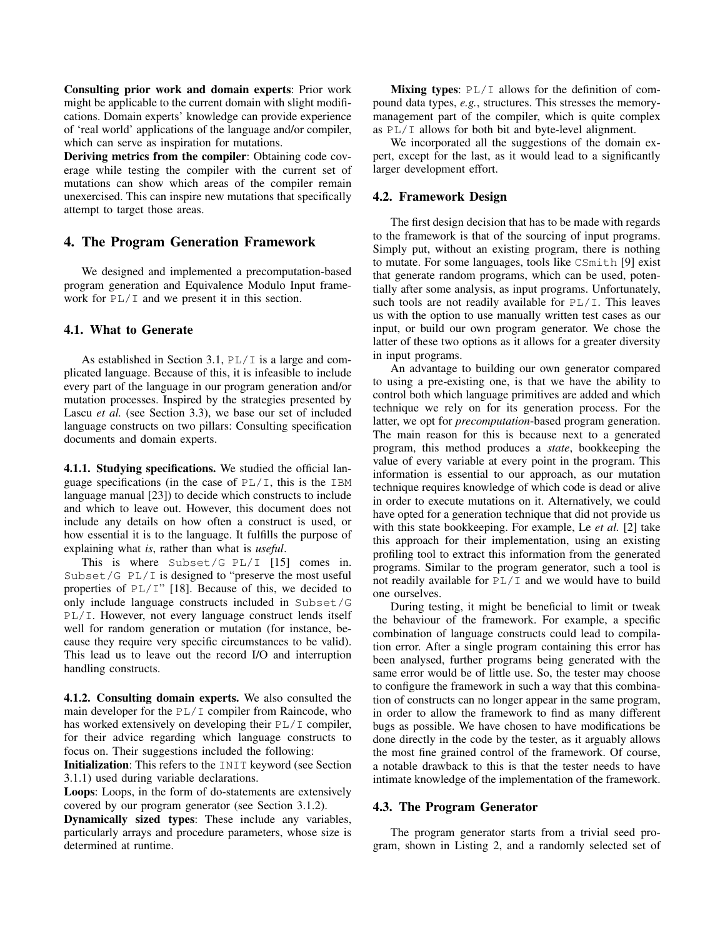Consulting prior work and domain experts: Prior work might be applicable to the current domain with slight modifications. Domain experts' knowledge can provide experience of 'real world' applications of the language and/or compiler, which can serve as inspiration for mutations.

Deriving metrics from the compiler: Obtaining code coverage while testing the compiler with the current set of mutations can show which areas of the compiler remain unexercised. This can inspire new mutations that specifically attempt to target those areas.

## 4. The Program Generation Framework

We designed and implemented a precomputation-based program generation and Equivalence Modulo Input framework for PL/I and we present it in this section.

#### 4.1. What to Generate

As established in Section 3.1,  $PL/I$  is a large and complicated language. Because of this, it is infeasible to include every part of the language in our program generation and/or mutation processes. Inspired by the strategies presented by Lascu *et al.* (see Section 3.3), we base our set of included language constructs on two pillars: Consulting specification documents and domain experts.

4.1.1. Studying specifications. We studied the official language specifications (in the case of  $PL/I$ , this is the IBM language manual [23]) to decide which constructs to include and which to leave out. However, this document does not include any details on how often a construct is used, or how essential it is to the language. It fulfills the purpose of explaining what *is*, rather than what is *useful*.

This is where Subset/G PL/I [15] comes in. Subset/G PL/I is designed to "preserve the most useful properties of  $PL/I$ " [18]. Because of this, we decided to only include language constructs included in Subset/G PL/I. However, not every language construct lends itself well for random generation or mutation (for instance, because they require very specific circumstances to be valid). This lead us to leave out the record I/O and interruption handling constructs.

4.1.2. Consulting domain experts. We also consulted the main developer for the PL/I compiler from Raincode, who has worked extensively on developing their PL/I compiler, for their advice regarding which language constructs to focus on. Their suggestions included the following:

Initialization: This refers to the INIT keyword (see Section 3.1.1) used during variable declarations.

Loops: Loops, in the form of do-statements are extensively covered by our program generator (see Section 3.1.2).

Dynamically sized types: These include any variables, particularly arrays and procedure parameters, whose size is determined at runtime.

Mixing types:  $PL/I$  allows for the definition of compound data types, *e.g.*, structures. This stresses the memorymanagement part of the compiler, which is quite complex as PL/I allows for both bit and byte-level alignment.

We incorporated all the suggestions of the domain expert, except for the last, as it would lead to a significantly larger development effort.

### 4.2. Framework Design

The first design decision that has to be made with regards to the framework is that of the sourcing of input programs. Simply put, without an existing program, there is nothing to mutate. For some languages, tools like CSmith [9] exist that generate random programs, which can be used, potentially after some analysis, as input programs. Unfortunately, such tools are not readily available for  $PL/I$ . This leaves us with the option to use manually written test cases as our input, or build our own program generator. We chose the latter of these two options as it allows for a greater diversity in input programs.

An advantage to building our own generator compared to using a pre-existing one, is that we have the ability to control both which language primitives are added and which technique we rely on for its generation process. For the latter, we opt for *precomputation*-based program generation. The main reason for this is because next to a generated program, this method produces a *state*, bookkeeping the value of every variable at every point in the program. This information is essential to our approach, as our mutation technique requires knowledge of which code is dead or alive in order to execute mutations on it. Alternatively, we could have opted for a generation technique that did not provide us with this state bookkeeping. For example, Le *et al.* [2] take this approach for their implementation, using an existing profiling tool to extract this information from the generated programs. Similar to the program generator, such a tool is not readily available for  $PL/I$  and we would have to build one ourselves.

During testing, it might be beneficial to limit or tweak the behaviour of the framework. For example, a specific combination of language constructs could lead to compilation error. After a single program containing this error has been analysed, further programs being generated with the same error would be of little use. So, the tester may choose to configure the framework in such a way that this combination of constructs can no longer appear in the same program, in order to allow the framework to find as many different bugs as possible. We have chosen to have modifications be done directly in the code by the tester, as it arguably allows the most fine grained control of the framework. Of course, a notable drawback to this is that the tester needs to have intimate knowledge of the implementation of the framework.

#### 4.3. The Program Generator

The program generator starts from a trivial seed program, shown in Listing 2, and a randomly selected set of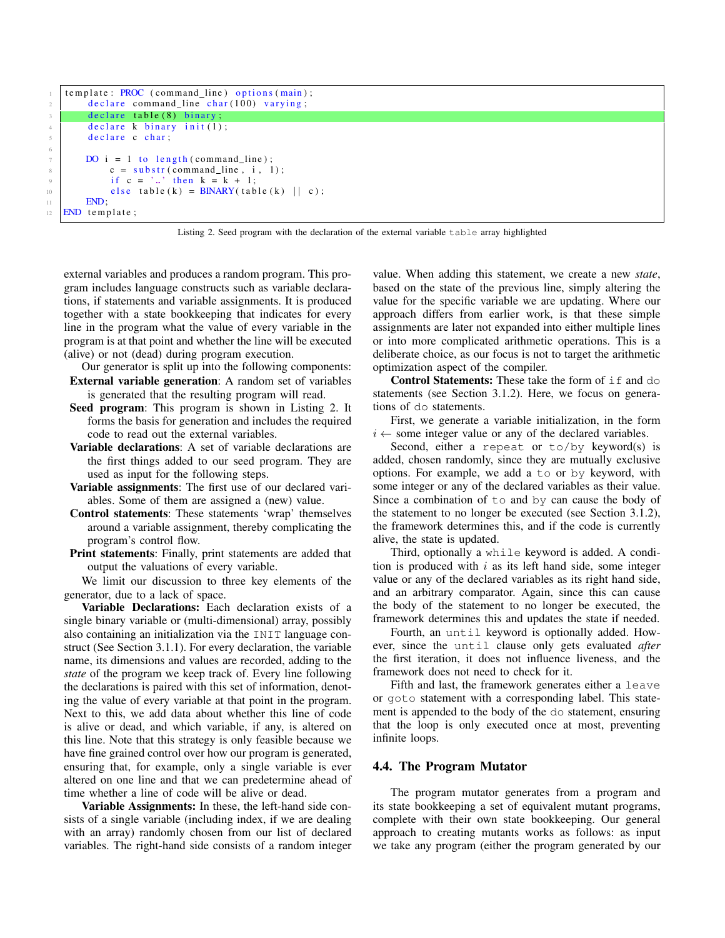```
template: PROC (command_line) options (main);
\frac{1}{2} declare command line char (100) varying;
3 declare table (8) binary;
4 declare k binary init (1);
5 declare c char;
       \overline{DO} i = 1 to length (command line);
s \mid c = \text{substr}(\text{command}\_line, i, 1);9 if c = ' \cup ' then k = k + 1;
_{10} else table (k) = BINARY(table (k) || c);
11 END:
12 END template;
```


external variables and produces a random program. This program includes language constructs such as variable declarations, if statements and variable assignments. It is produced together with a state bookkeeping that indicates for every line in the program what the value of every variable in the program is at that point and whether the line will be executed (alive) or not (dead) during program execution.

- Our generator is split up into the following components: External variable generation: A random set of variables is generated that the resulting program will read.
- Seed program: This program is shown in Listing 2. It forms the basis for generation and includes the required code to read out the external variables.
- Variable declarations: A set of variable declarations are the first things added to our seed program. They are used as input for the following steps.
- Variable assignments: The first use of our declared variables. Some of them are assigned a (new) value.
- Control statements: These statements 'wrap' themselves around a variable assignment, thereby complicating the program's control flow.
- Print statements: Finally, print statements are added that output the valuations of every variable.

We limit our discussion to three key elements of the generator, due to a lack of space.

Variable Declarations: Each declaration exists of a single binary variable or (multi-dimensional) array, possibly also containing an initialization via the INIT language construct (See Section 3.1.1). For every declaration, the variable name, its dimensions and values are recorded, adding to the *state* of the program we keep track of. Every line following the declarations is paired with this set of information, denoting the value of every variable at that point in the program. Next to this, we add data about whether this line of code is alive or dead, and which variable, if any, is altered on this line. Note that this strategy is only feasible because we have fine grained control over how our program is generated, ensuring that, for example, only a single variable is ever altered on one line and that we can predetermine ahead of time whether a line of code will be alive or dead.

Variable Assignments: In these, the left-hand side consists of a single variable (including index, if we are dealing with an array) randomly chosen from our list of declared variables. The right-hand side consists of a random integer value. When adding this statement, we create a new *state*, based on the state of the previous line, simply altering the value for the specific variable we are updating. Where our approach differs from earlier work, is that these simple assignments are later not expanded into either multiple lines or into more complicated arithmetic operations. This is a deliberate choice, as our focus is not to target the arithmetic optimization aspect of the compiler.

Control Statements: These take the form of if and do statements (see Section 3.1.2). Here, we focus on generations of do statements.

First, we generate a variable initialization, in the form  $i \leftarrow$  some integer value or any of the declared variables.

Second, either a repeat or  $to/by$  keyword(s) is added, chosen randomly, since they are mutually exclusive options. For example, we add a to or by keyword, with some integer or any of the declared variables as their value. Since a combination of to and by can cause the body of the statement to no longer be executed (see Section 3.1.2), the framework determines this, and if the code is currently alive, the state is updated.

Third, optionally a while keyword is added. A condition is produced with  $i$  as its left hand side, some integer value or any of the declared variables as its right hand side, and an arbitrary comparator. Again, since this can cause the body of the statement to no longer be executed, the framework determines this and updates the state if needed.

Fourth, an until keyword is optionally added. However, since the until clause only gets evaluated *after* the first iteration, it does not influence liveness, and the framework does not need to check for it.

Fifth and last, the framework generates either a leave or goto statement with a corresponding label. This statement is appended to the body of the do statement, ensuring that the loop is only executed once at most, preventing infinite loops.

#### 4.4. The Program Mutator

The program mutator generates from a program and its state bookkeeping a set of equivalent mutant programs, complete with their own state bookkeeping. Our general approach to creating mutants works as follows: as input we take any program (either the program generated by our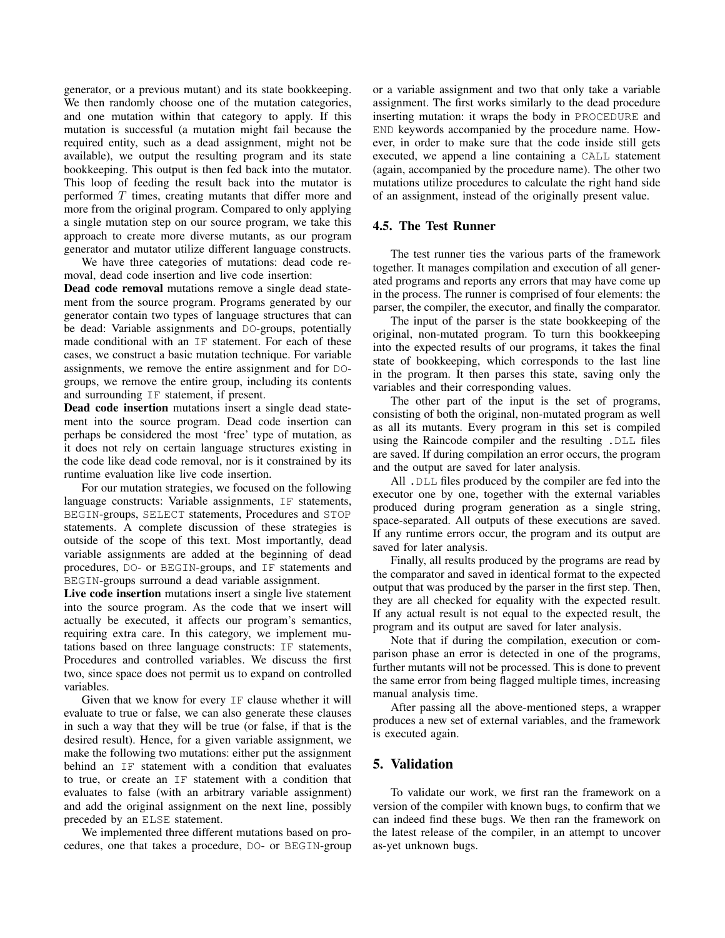generator, or a previous mutant) and its state bookkeeping. We then randomly choose one of the mutation categories, and one mutation within that category to apply. If this mutation is successful (a mutation might fail because the required entity, such as a dead assignment, might not be available), we output the resulting program and its state bookkeeping. This output is then fed back into the mutator. This loop of feeding the result back into the mutator is performed  $T$  times, creating mutants that differ more and more from the original program. Compared to only applying a single mutation step on our source program, we take this approach to create more diverse mutants, as our program generator and mutator utilize different language constructs.

We have three categories of mutations: dead code removal, dead code insertion and live code insertion:

Dead code removal mutations remove a single dead statement from the source program. Programs generated by our generator contain two types of language structures that can be dead: Variable assignments and DO-groups, potentially made conditional with an IF statement. For each of these cases, we construct a basic mutation technique. For variable assignments, we remove the entire assignment and for DOgroups, we remove the entire group, including its contents and surrounding IF statement, if present.

Dead code insertion mutations insert a single dead statement into the source program. Dead code insertion can perhaps be considered the most 'free' type of mutation, as it does not rely on certain language structures existing in the code like dead code removal, nor is it constrained by its runtime evaluation like live code insertion.

For our mutation strategies, we focused on the following language constructs: Variable assignments, IF statements, BEGIN-groups, SELECT statements, Procedures and STOP statements. A complete discussion of these strategies is outside of the scope of this text. Most importantly, dead variable assignments are added at the beginning of dead procedures, DO- or BEGIN-groups, and IF statements and BEGIN-groups surround a dead variable assignment.

Live code insertion mutations insert a single live statement into the source program. As the code that we insert will actually be executed, it affects our program's semantics, requiring extra care. In this category, we implement mutations based on three language constructs: IF statements, Procedures and controlled variables. We discuss the first two, since space does not permit us to expand on controlled variables.

Given that we know for every IF clause whether it will evaluate to true or false, we can also generate these clauses in such a way that they will be true (or false, if that is the desired result). Hence, for a given variable assignment, we make the following two mutations: either put the assignment behind an IF statement with a condition that evaluates to true, or create an IF statement with a condition that evaluates to false (with an arbitrary variable assignment) and add the original assignment on the next line, possibly preceded by an ELSE statement.

We implemented three different mutations based on procedures, one that takes a procedure, DO- or BEGIN-group or a variable assignment and two that only take a variable assignment. The first works similarly to the dead procedure inserting mutation: it wraps the body in PROCEDURE and END keywords accompanied by the procedure name. However, in order to make sure that the code inside still gets executed, we append a line containing a CALL statement (again, accompanied by the procedure name). The other two mutations utilize procedures to calculate the right hand side of an assignment, instead of the originally present value.

## 4.5. The Test Runner

The test runner ties the various parts of the framework together. It manages compilation and execution of all generated programs and reports any errors that may have come up in the process. The runner is comprised of four elements: the parser, the compiler, the executor, and finally the comparator.

The input of the parser is the state bookkeeping of the original, non-mutated program. To turn this bookkeeping into the expected results of our programs, it takes the final state of bookkeeping, which corresponds to the last line in the program. It then parses this state, saving only the variables and their corresponding values.

The other part of the input is the set of programs, consisting of both the original, non-mutated program as well as all its mutants. Every program in this set is compiled using the Raincode compiler and the resulting .DLL files are saved. If during compilation an error occurs, the program and the output are saved for later analysis.

All .DLL files produced by the compiler are fed into the executor one by one, together with the external variables produced during program generation as a single string, space-separated. All outputs of these executions are saved. If any runtime errors occur, the program and its output are saved for later analysis.

Finally, all results produced by the programs are read by the comparator and saved in identical format to the expected output that was produced by the parser in the first step. Then, they are all checked for equality with the expected result. If any actual result is not equal to the expected result, the program and its output are saved for later analysis.

Note that if during the compilation, execution or comparison phase an error is detected in one of the programs, further mutants will not be processed. This is done to prevent the same error from being flagged multiple times, increasing manual analysis time.

After passing all the above-mentioned steps, a wrapper produces a new set of external variables, and the framework is executed again.

## 5. Validation

To validate our work, we first ran the framework on a version of the compiler with known bugs, to confirm that we can indeed find these bugs. We then ran the framework on the latest release of the compiler, in an attempt to uncover as-yet unknown bugs.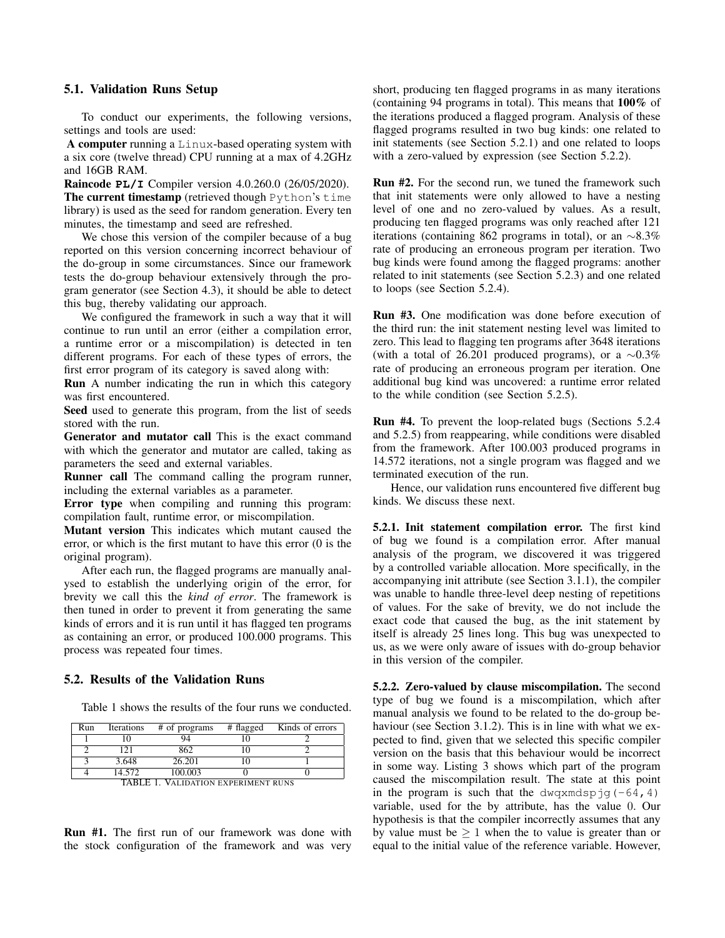#### 5.1. Validation Runs Setup

To conduct our experiments, the following versions, settings and tools are used:

A computer running a Linux-based operating system with a six core (twelve thread) CPU running at a max of 4.2GHz and 16GB RAM.

Raincode **PL/I** Compiler version 4.0.260.0 (26/05/2020). The current timestamp (retrieved though Python's time library) is used as the seed for random generation. Every ten minutes, the timestamp and seed are refreshed.

We chose this version of the compiler because of a bug reported on this version concerning incorrect behaviour of the do-group in some circumstances. Since our framework tests the do-group behaviour extensively through the program generator (see Section 4.3), it should be able to detect this bug, thereby validating our approach.

We configured the framework in such a way that it will continue to run until an error (either a compilation error, a runtime error or a miscompilation) is detected in ten different programs. For each of these types of errors, the first error program of its category is saved along with:

Run A number indicating the run in which this category was first encountered.

Seed used to generate this program, from the list of seeds stored with the run.

Generator and mutator call This is the exact command with which the generator and mutator are called, taking as parameters the seed and external variables.

Runner call The command calling the program runner, including the external variables as a parameter.

Error type when compiling and running this program: compilation fault, runtime error, or miscompilation.

Mutant version This indicates which mutant caused the error, or which is the first mutant to have this error (0 is the original program).

After each run, the flagged programs are manually analysed to establish the underlying origin of the error, for brevity we call this the *kind of error*. The framework is then tuned in order to prevent it from generating the same kinds of errors and it is run until it has flagged ten programs as containing an error, or produced 100.000 programs. This process was repeated four times.

### 5.2. Results of the Validation Runs

Table 1 shows the results of the four runs we conducted.

| Run                                 | Iterations | # of programs | # flagged | Kinds of errors |  |
|-------------------------------------|------------|---------------|-----------|-----------------|--|
|                                     |            | 94            |           |                 |  |
|                                     | 191        | 862           |           |                 |  |
|                                     | 3.648      | 26.201        |           |                 |  |
|                                     | 14.572     | 100.003       |           |                 |  |
| TADI E 1 VALIDATION EVERDIMENT BUNG |            |               |           |                 |  |

TABLE 1. VALIDATION EXPERIMENT RUNS

Run #1. The first run of our framework was done with the stock configuration of the framework and was very short, producing ten flagged programs in as many iterations (containing 94 programs in total). This means that 100% of the iterations produced a flagged program. Analysis of these flagged programs resulted in two bug kinds: one related to init statements (see Section 5.2.1) and one related to loops with a zero-valued by expression (see Section 5.2.2).

Run #2. For the second run, we tuned the framework such that init statements were only allowed to have a nesting level of one and no zero-valued by values. As a result, producing ten flagged programs was only reached after 121 iterations (containing 862 programs in total), or an ∼8.3% rate of producing an erroneous program per iteration. Two bug kinds were found among the flagged programs: another related to init statements (see Section 5.2.3) and one related to loops (see Section 5.2.4).

Run #3. One modification was done before execution of the third run: the init statement nesting level was limited to zero. This lead to flagging ten programs after 3648 iterations (with a total of 26.201 produced programs), or a  $\sim$ 0.3% rate of producing an erroneous program per iteration. One additional bug kind was uncovered: a runtime error related to the while condition (see Section 5.2.5).

Run #4. To prevent the loop-related bugs (Sections 5.2.4 and 5.2.5) from reappearing, while conditions were disabled from the framework. After 100.003 produced programs in 14.572 iterations, not a single program was flagged and we terminated execution of the run.

Hence, our validation runs encountered five different bug kinds. We discuss these next.

5.2.1. Init statement compilation error. The first kind of bug we found is a compilation error. After manual analysis of the program, we discovered it was triggered by a controlled variable allocation. More specifically, in the accompanying init attribute (see Section 3.1.1), the compiler was unable to handle three-level deep nesting of repetitions of values. For the sake of brevity, we do not include the exact code that caused the bug, as the init statement by itself is already 25 lines long. This bug was unexpected to us, as we were only aware of issues with do-group behavior in this version of the compiler.

5.2.2. Zero-valued by clause miscompilation. The second type of bug we found is a miscompilation, which after manual analysis we found to be related to the do-group behaviour (see Section 3.1.2). This is in line with what we expected to find, given that we selected this specific compiler version on the basis that this behaviour would be incorrect in some way. Listing 3 shows which part of the program caused the miscompilation result. The state at this point in the program is such that the dwqxmdspjg( $-64, 4$ ) variable, used for the by attribute, has the value 0. Our hypothesis is that the compiler incorrectly assumes that any by value must be  $\geq 1$  when the to value is greater than or equal to the initial value of the reference variable. However,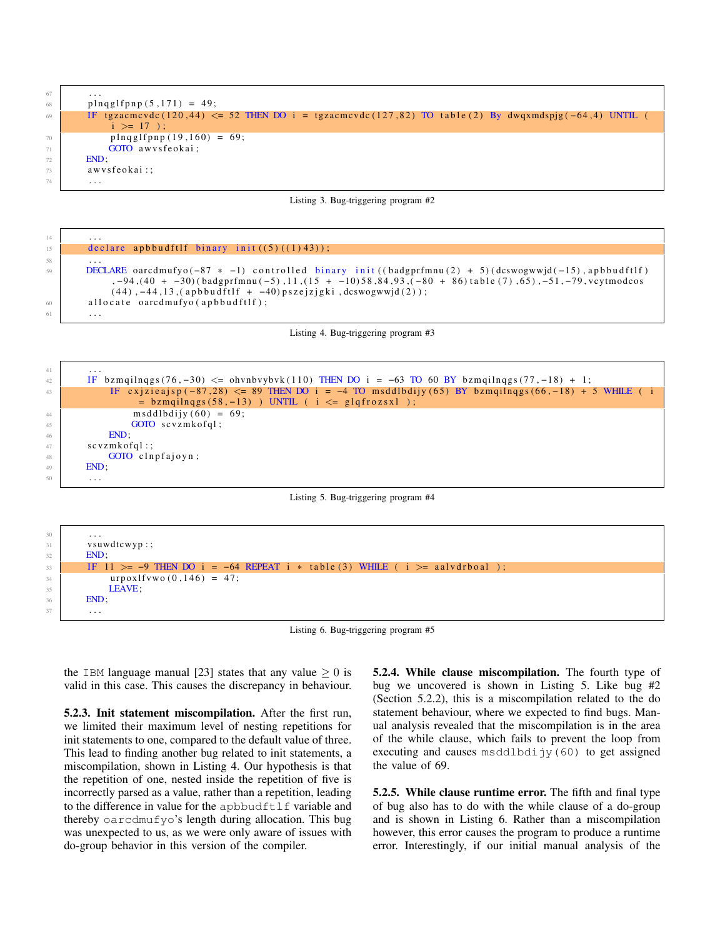$67$  ... 68 plnqglfpnp $(5, 171) = 49$ ; 69 IF t g z a cm c v d c (120,44)  $\leq$  52 THEN DO i = t g z a cm c v d c (127,82) TO t a b l e (2) By dwqxmdspjg (-64,4) UNTIL (  $i \geq 17$ );  $70 \mid \frac{\text{p} \cdot \text{p}}{\text{p} \cdot \text{p}} = 69;$  $71$  GOTO awysfeokai: <sup>72</sup> END;  $73$  awys feokai: 74 . . .

Listing 3. Bug-triggering program #2



Listing 4. Bug-triggering program #3

```
41 . . .
42 IF b zm qil n q g s ( 76, -30) \leq ohvnbvybvk (110) THEN DO i = -63 TO 60 BY b zm qil n q g s ( 77, -18) + 1;
43 IF c x j z i e a j s p ( -87,28) <= 89 THEN DO i = -4 TO ms ddl b di y ( 65) BY b zm qil n q g s ( 66, -18) + 5 WHILE ( i
                 = bzm qil n q g s (58, -13) ) UNTIL ( i \leq g l q f r o z s x l );
44 m sddlbdijy (60) = 69;
45 GOTO scvzmkofql;
46 END;
47 scyzmkofal:
48 GOTO clnpfajoyn;
49 END:
       50 . . .
```
#### Listing 5. Bug-triggering program #4



Listing 6. Bug-triggering program #5

the IBM language manual [23] states that any value  $\geq 0$  is valid in this case. This causes the discrepancy in behaviour.

5.2.3. Init statement miscompilation. After the first run, we limited their maximum level of nesting repetitions for init statements to one, compared to the default value of three. This lead to finding another bug related to init statements, a miscompilation, shown in Listing 4. Our hypothesis is that the repetition of one, nested inside the repetition of five is incorrectly parsed as a value, rather than a repetition, leading to the difference in value for the apbbudftlf variable and thereby oarcdmufyo's length during allocation. This bug was unexpected to us, as we were only aware of issues with do-group behavior in this version of the compiler.

5.2.4. While clause miscompilation. The fourth type of bug we uncovered is shown in Listing 5. Like bug #2 (Section 5.2.2), this is a miscompilation related to the do statement behaviour, where we expected to find bugs. Manual analysis revealed that the miscompilation is in the area of the while clause, which fails to prevent the loop from executing and causes msddlbdijy(60) to get assigned the value of 69.

5.2.5. While clause runtime error. The fifth and final type of bug also has to do with the while clause of a do-group and is shown in Listing 6. Rather than a miscompilation however, this error causes the program to produce a runtime error. Interestingly, if our initial manual analysis of the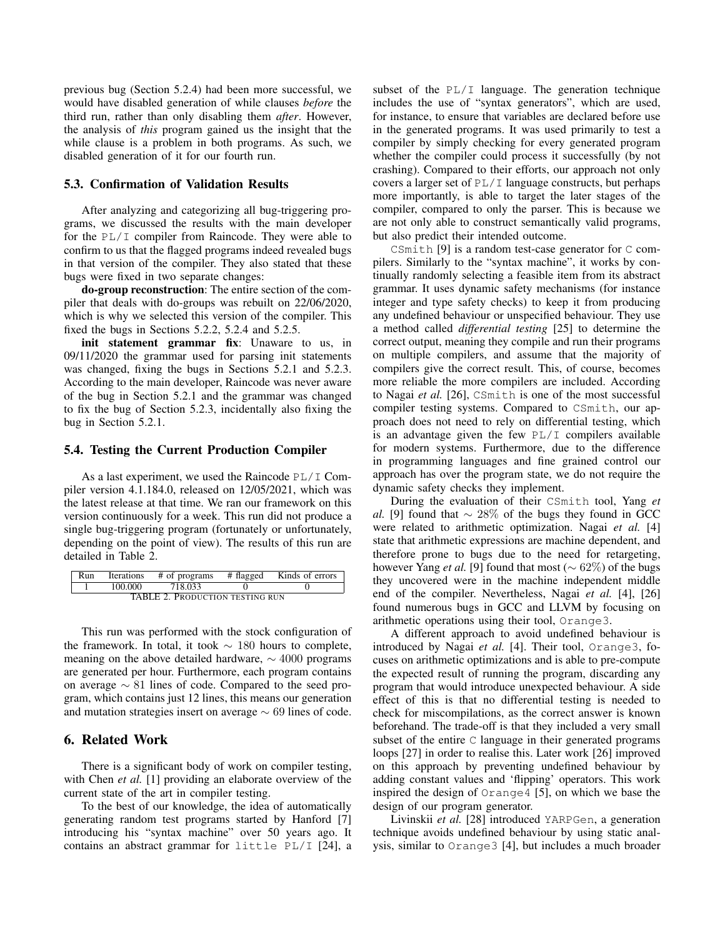previous bug (Section 5.2.4) had been more successful, we would have disabled generation of while clauses *before* the third run, rather than only disabling them *after*. However, the analysis of *this* program gained us the insight that the while clause is a problem in both programs. As such, we disabled generation of it for our fourth run.

#### 5.3. Confirmation of Validation Results

After analyzing and categorizing all bug-triggering programs, we discussed the results with the main developer for the PL/I compiler from Raincode. They were able to confirm to us that the flagged programs indeed revealed bugs in that version of the compiler. They also stated that these bugs were fixed in two separate changes:

do-group reconstruction: The entire section of the compiler that deals with do-groups was rebuilt on 22/06/2020, which is why we selected this version of the compiler. This fixed the bugs in Sections 5.2.2, 5.2.4 and 5.2.5.

init statement grammar fix: Unaware to us, in 09/11/2020 the grammar used for parsing init statements was changed, fixing the bugs in Sections 5.2.1 and 5.2.3. According to the main developer, Raincode was never aware of the bug in Section 5.2.1 and the grammar was changed to fix the bug of Section 5.2.3, incidentally also fixing the bug in Section 5.2.1.

#### 5.4. Testing the Current Production Compiler

As a last experiment, we used the Raincode  $PL/I$  Compiler version 4.1.184.0, released on 12/05/2021, which was the latest release at that time. We ran our framework on this version continuously for a week. This run did not produce a single bug-triggering program (fortunately or unfortunately, depending on the point of view). The results of this run are detailed in Table 2.

| Run                                    | Iterations | # of programs | # flagged | Kinds of errors |  |  |  |
|----------------------------------------|------------|---------------|-----------|-----------------|--|--|--|
|                                        | 100.000    | 718.033       |           |                 |  |  |  |
| <b>TABLE 2. PRODUCTION TESTING RUN</b> |            |               |           |                 |  |  |  |

This run was performed with the stock configuration of the framework. In total, it took  $\sim 180$  hours to complete, meaning on the above detailed hardware,  $\sim$  4000 programs are generated per hour. Furthermore, each program contains on average ∼ 81 lines of code. Compared to the seed program, which contains just 12 lines, this means our generation and mutation strategies insert on average  $\sim 69$  lines of code.

## 6. Related Work

There is a significant body of work on compiler testing, with Chen *et al.* [1] providing an elaborate overview of the current state of the art in compiler testing.

To the best of our knowledge, the idea of automatically generating random test programs started by Hanford [7] introducing his "syntax machine" over 50 years ago. It contains an abstract grammar for little PL/I [24], a subset of the PL/I language. The generation technique includes the use of "syntax generators", which are used, for instance, to ensure that variables are declared before use in the generated programs. It was used primarily to test a compiler by simply checking for every generated program whether the compiler could process it successfully (by not crashing). Compared to their efforts, our approach not only covers a larger set of PL/I language constructs, but perhaps more importantly, is able to target the later stages of the compiler, compared to only the parser. This is because we are not only able to construct semantically valid programs, but also predict their intended outcome.

CSmith [9] is a random test-case generator for C compilers. Similarly to the "syntax machine", it works by continually randomly selecting a feasible item from its abstract grammar. It uses dynamic safety mechanisms (for instance integer and type safety checks) to keep it from producing any undefined behaviour or unspecified behaviour. They use a method called *differential testing* [25] to determine the correct output, meaning they compile and run their programs on multiple compilers, and assume that the majority of compilers give the correct result. This, of course, becomes more reliable the more compilers are included. According to Nagai *et al.* [26], CSmith is one of the most successful compiler testing systems. Compared to CSmith, our approach does not need to rely on differential testing, which is an advantage given the few  $PL/I$  compilers available for modern systems. Furthermore, due to the difference in programming languages and fine grained control our approach has over the program state, we do not require the dynamic safety checks they implement.

During the evaluation of their CSmith tool, Yang *et al.* [9] found that  $\sim 28\%$  of the bugs they found in GCC were related to arithmetic optimization. Nagai *et al.* [4] state that arithmetic expressions are machine dependent, and therefore prone to bugs due to the need for retargeting, however Yang *et al.* [9] found that most ( $\sim 62\%$ ) of the bugs they uncovered were in the machine independent middle end of the compiler. Nevertheless, Nagai *et al.* [4], [26] found numerous bugs in GCC and LLVM by focusing on arithmetic operations using their tool, Orange3.

A different approach to avoid undefined behaviour is introduced by Nagai *et al.* [4]. Their tool, Orange3, focuses on arithmetic optimizations and is able to pre-compute the expected result of running the program, discarding any program that would introduce unexpected behaviour. A side effect of this is that no differential testing is needed to check for miscompilations, as the correct answer is known beforehand. The trade-off is that they included a very small subset of the entire C language in their generated programs loops [27] in order to realise this. Later work [26] improved on this approach by preventing undefined behaviour by adding constant values and 'flipping' operators. This work inspired the design of Orange4 [5], on which we base the design of our program generator.

Livinskii *et al.* [28] introduced YARPGen, a generation technique avoids undefined behaviour by using static analysis, similar to Orange3 [4], but includes a much broader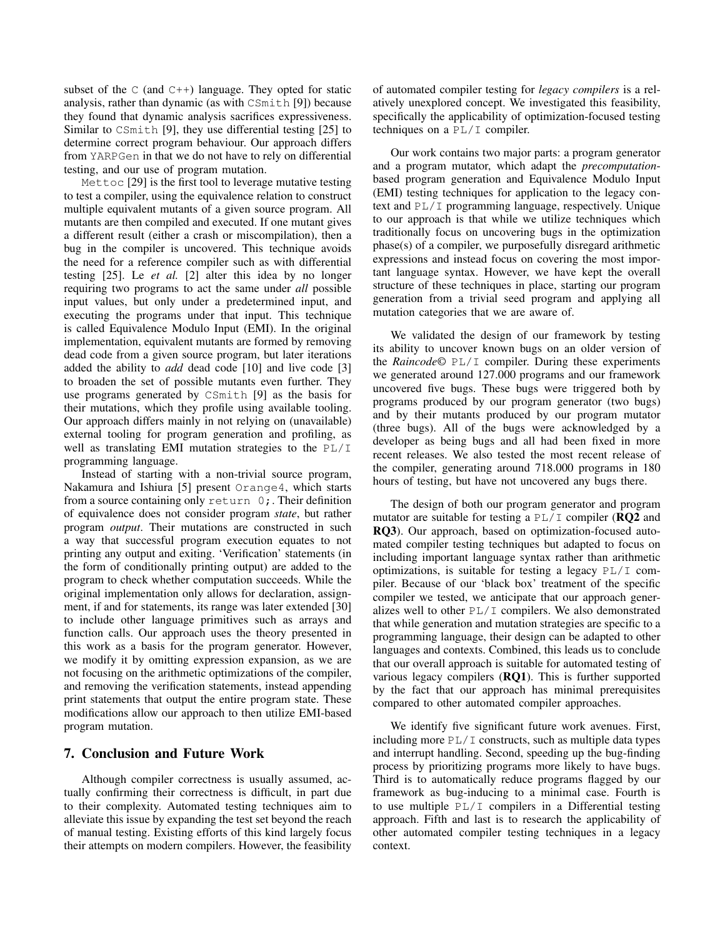subset of the  $C$  (and  $C^{++}$ ) language. They opted for static analysis, rather than dynamic (as with CSmith [9]) because they found that dynamic analysis sacrifices expressiveness. Similar to CSmith [9], they use differential testing [25] to determine correct program behaviour. Our approach differs from YARPGen in that we do not have to rely on differential testing, and our use of program mutation.

Mettoc [29] is the first tool to leverage mutative testing to test a compiler, using the equivalence relation to construct multiple equivalent mutants of a given source program. All mutants are then compiled and executed. If one mutant gives a different result (either a crash or miscompilation), then a bug in the compiler is uncovered. This technique avoids the need for a reference compiler such as with differential testing [25]. Le *et al.* [2] alter this idea by no longer requiring two programs to act the same under *all* possible input values, but only under a predetermined input, and executing the programs under that input. This technique is called Equivalence Modulo Input (EMI). In the original implementation, equivalent mutants are formed by removing dead code from a given source program, but later iterations added the ability to *add* dead code [10] and live code [3] to broaden the set of possible mutants even further. They use programs generated by CSmith [9] as the basis for their mutations, which they profile using available tooling. Our approach differs mainly in not relying on (unavailable) external tooling for program generation and profiling, as well as translating EMI mutation strategies to the PL/I programming language.

Instead of starting with a non-trivial source program, Nakamura and Ishiura [5] present Orange4, which starts from a source containing only return 0;. Their definition of equivalence does not consider program *state*, but rather program *output*. Their mutations are constructed in such a way that successful program execution equates to not printing any output and exiting. 'Verification' statements (in the form of conditionally printing output) are added to the program to check whether computation succeeds. While the original implementation only allows for declaration, assignment, if and for statements, its range was later extended [30] to include other language primitives such as arrays and function calls. Our approach uses the theory presented in this work as a basis for the program generator. However, we modify it by omitting expression expansion, as we are not focusing on the arithmetic optimizations of the compiler, and removing the verification statements, instead appending print statements that output the entire program state. These modifications allow our approach to then utilize EMI-based program mutation.

## 7. Conclusion and Future Work

Although compiler correctness is usually assumed, actually confirming their correctness is difficult, in part due to their complexity. Automated testing techniques aim to alleviate this issue by expanding the test set beyond the reach of manual testing. Existing efforts of this kind largely focus their attempts on modern compilers. However, the feasibility of automated compiler testing for *legacy compilers* is a relatively unexplored concept. We investigated this feasibility, specifically the applicability of optimization-focused testing techniques on a PL/I compiler.

Our work contains two major parts: a program generator and a program mutator, which adapt the *precomputation*based program generation and Equivalence Modulo Input (EMI) testing techniques for application to the legacy context and PL/I programming language, respectively. Unique to our approach is that while we utilize techniques which traditionally focus on uncovering bugs in the optimization phase(s) of a compiler, we purposefully disregard arithmetic expressions and instead focus on covering the most important language syntax. However, we have kept the overall structure of these techniques in place, starting our program generation from a trivial seed program and applying all mutation categories that we are aware of.

We validated the design of our framework by testing its ability to uncover known bugs on an older version of the *Raincode©* PL/I compiler. During these experiments we generated around 127.000 programs and our framework uncovered five bugs. These bugs were triggered both by programs produced by our program generator (two bugs) and by their mutants produced by our program mutator (three bugs). All of the bugs were acknowledged by a developer as being bugs and all had been fixed in more recent releases. We also tested the most recent release of the compiler, generating around 718.000 programs in 180 hours of testing, but have not uncovered any bugs there.

The design of both our program generator and program mutator are suitable for testing a  $PL/I$  compiler (**RQ2** and RQ3). Our approach, based on optimization-focused automated compiler testing techniques but adapted to focus on including important language syntax rather than arithmetic optimizations, is suitable for testing a legacy PL/I compiler. Because of our 'black box' treatment of the specific compiler we tested, we anticipate that our approach generalizes well to other  $PL/I$  compilers. We also demonstrated that while generation and mutation strategies are specific to a programming language, their design can be adapted to other languages and contexts. Combined, this leads us to conclude that our overall approach is suitable for automated testing of various legacy compilers (RQ1). This is further supported by the fact that our approach has minimal prerequisites compared to other automated compiler approaches.

We identify five significant future work avenues. First, including more  $PL/I$  constructs, such as multiple data types and interrupt handling. Second, speeding up the bug-finding process by prioritizing programs more likely to have bugs. Third is to automatically reduce programs flagged by our framework as bug-inducing to a minimal case. Fourth is to use multiple  $PL/I$  compilers in a Differential testing approach. Fifth and last is to research the applicability of other automated compiler testing techniques in a legacy context.